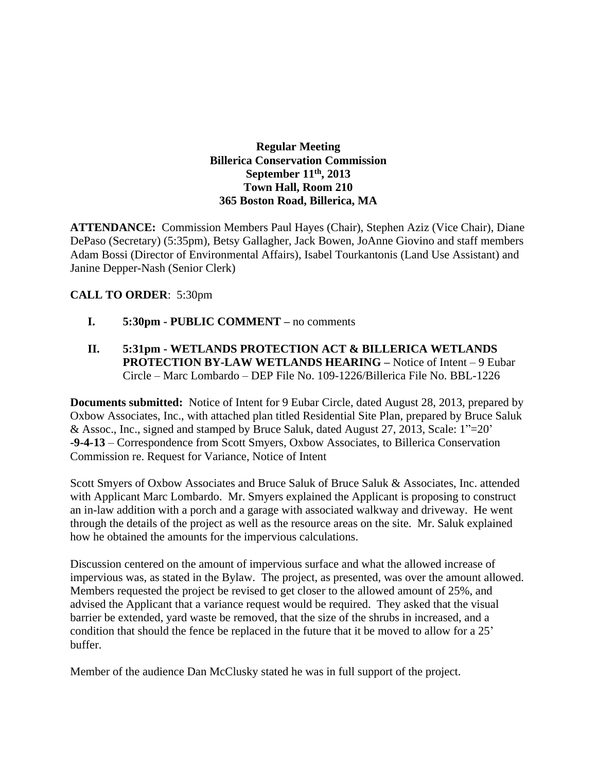### **Regular Meeting Billerica Conservation Commission September 11th , 2013 Town Hall, Room 210 365 Boston Road, Billerica, MA**

**ATTENDANCE:** Commission Members Paul Hayes (Chair), Stephen Aziz (Vice Chair), Diane DePaso (Secretary) (5:35pm), Betsy Gallagher, Jack Bowen, JoAnne Giovino and staff members Adam Bossi (Director of Environmental Affairs), Isabel Tourkantonis (Land Use Assistant) and Janine Depper-Nash (Senior Clerk)

## **CALL TO ORDER**: 5:30pm

- **I. 5:30pm PUBLIC COMMENT –** no comments
- **II. 5:31pm WETLANDS PROTECTION ACT & BILLERICA WETLANDS PROTECTION BY-LAW WETLANDS HEARING – Notice of Intent – 9 Eubar** Circle – Marc Lombardo – DEP File No. 109-1226/Billerica File No. BBL-1226

**Documents submitted:** Notice of Intent for 9 Eubar Circle, dated August 28, 2013, prepared by Oxbow Associates, Inc., with attached plan titled Residential Site Plan, prepared by Bruce Saluk & Assoc., Inc., signed and stamped by Bruce Saluk, dated August 27, 2013, Scale: 1"=20' **-9-4-13** – Correspondence from Scott Smyers, Oxbow Associates, to Billerica Conservation Commission re. Request for Variance, Notice of Intent

Scott Smyers of Oxbow Associates and Bruce Saluk of Bruce Saluk & Associates, Inc. attended with Applicant Marc Lombardo. Mr. Smyers explained the Applicant is proposing to construct an in-law addition with a porch and a garage with associated walkway and driveway. He went through the details of the project as well as the resource areas on the site. Mr. Saluk explained how he obtained the amounts for the impervious calculations.

Discussion centered on the amount of impervious surface and what the allowed increase of impervious was, as stated in the Bylaw. The project, as presented, was over the amount allowed. Members requested the project be revised to get closer to the allowed amount of 25%, and advised the Applicant that a variance request would be required. They asked that the visual barrier be extended, yard waste be removed, that the size of the shrubs in increased, and a condition that should the fence be replaced in the future that it be moved to allow for a 25' buffer.

Member of the audience Dan McClusky stated he was in full support of the project.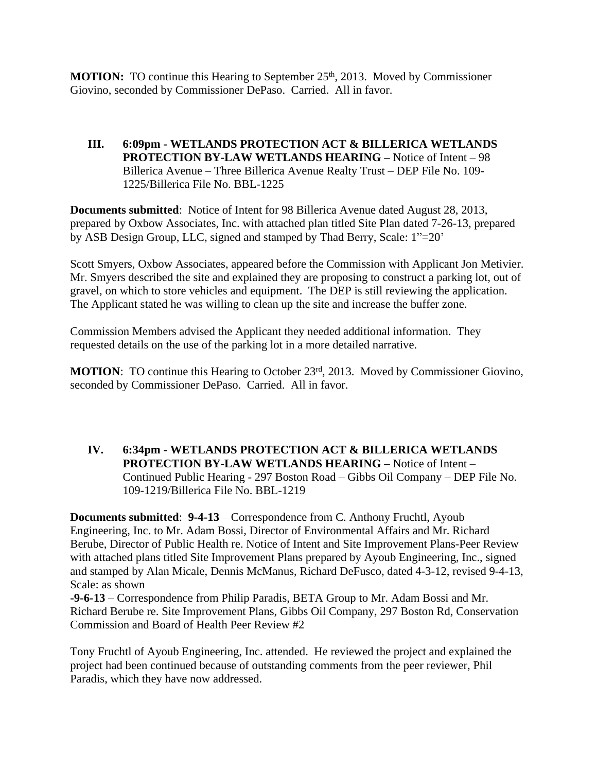**MOTION:** TO continue this Hearing to September 25<sup>th</sup>, 2013. Moved by Commissioner Giovino, seconded by Commissioner DePaso. Carried. All in favor.

**III. 6:09pm - WETLANDS PROTECTION ACT & BILLERICA WETLANDS PROTECTION BY-LAW WETLANDS HEARING –** Notice of Intent – 98 Billerica Avenue – Three Billerica Avenue Realty Trust – DEP File No. 109- 1225/Billerica File No. BBL-1225

**Documents submitted**: Notice of Intent for 98 Billerica Avenue dated August 28, 2013, prepared by Oxbow Associates, Inc. with attached plan titled Site Plan dated 7-26-13, prepared by ASB Design Group, LLC, signed and stamped by Thad Berry, Scale: 1"=20'

Scott Smyers, Oxbow Associates, appeared before the Commission with Applicant Jon Metivier. Mr. Smyers described the site and explained they are proposing to construct a parking lot, out of gravel, on which to store vehicles and equipment. The DEP is still reviewing the application. The Applicant stated he was willing to clean up the site and increase the buffer zone.

Commission Members advised the Applicant they needed additional information. They requested details on the use of the parking lot in a more detailed narrative.

**MOTION:** TO continue this Hearing to October 23<sup>rd</sup>, 2013. Moved by Commissioner Giovino, seconded by Commissioner DePaso. Carried. All in favor.

### **IV. 6:34pm - WETLANDS PROTECTION ACT & BILLERICA WETLANDS PROTECTION BY-LAW WETLANDS HEARING –** Notice of Intent – Continued Public Hearing - 297 Boston Road – Gibbs Oil Company – DEP File No. 109-1219/Billerica File No. BBL-1219

**Documents submitted**: **9-4-13** – Correspondence from C. Anthony Fruchtl, Ayoub Engineering, Inc. to Mr. Adam Bossi, Director of Environmental Affairs and Mr. Richard Berube, Director of Public Health re. Notice of Intent and Site Improvement Plans-Peer Review with attached plans titled Site Improvement Plans prepared by Ayoub Engineering, Inc., signed and stamped by Alan Micale, Dennis McManus, Richard DeFusco, dated 4-3-12, revised 9-4-13, Scale: as shown

**-9-6-13** – Correspondence from Philip Paradis, BETA Group to Mr. Adam Bossi and Mr. Richard Berube re. Site Improvement Plans, Gibbs Oil Company, 297 Boston Rd, Conservation Commission and Board of Health Peer Review #2

Tony Fruchtl of Ayoub Engineering, Inc. attended. He reviewed the project and explained the project had been continued because of outstanding comments from the peer reviewer, Phil Paradis, which they have now addressed.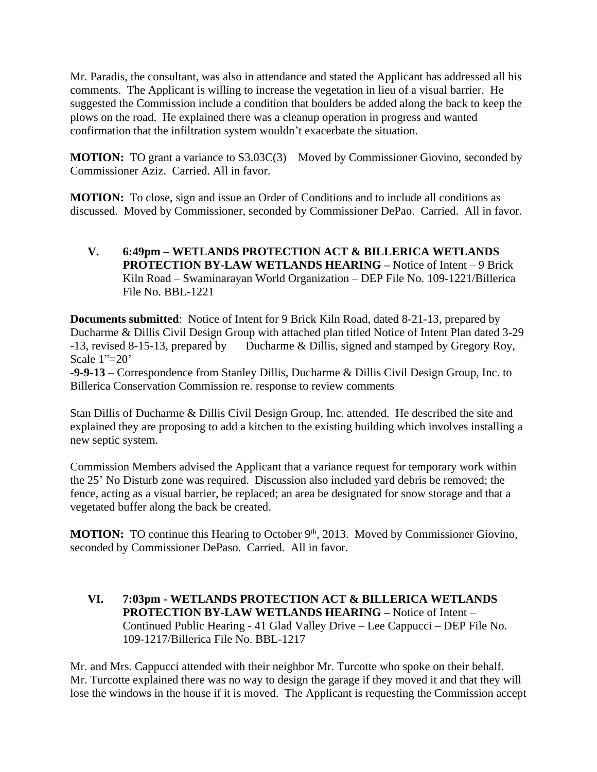Mr. Paradis, the consultant, was also in attendance and stated the Applicant has addressed all his comments. The Applicant is willing to increase the vegetation in lieu of a visual barrier. He suggested the Commission include a condition that boulders be added along the back to keep the plows on the road. He explained there was a cleanup operation in progress and wanted confirmation that the infiltration system wouldn't exacerbate the situation.

**MOTION:** TO grant a variance to S3.03C(3) Moved by Commissioner Giovino, seconded by Commissioner Aziz. Carried. All in favor.

**MOTION:** To close, sign and issue an Order of Conditions and to include all conditions as discussed. Moved by Commissioner, seconded by Commissioner DePao. Carried. All in favor.

**V. 6:49pm – WETLANDS PROTECTION ACT & BILLERICA WETLANDS PROTECTION BY-LAW WETLANDS HEARING –** Notice of Intent – 9 Brick Kiln Road – Swaminarayan World Organization – DEP File No. 109-1221/Billerica File No. BBL-1221

**Documents submitted**: Notice of Intent for 9 Brick Kiln Road, dated 8-21-13, prepared by Ducharme & Dillis Civil Design Group with attached plan titled Notice of Intent Plan dated 3-29 -13, revised 8-15-13, prepared by Ducharme & Dillis, signed and stamped by Gregory Roy, Scale 1"=20'

**-9-9-13** – Correspondence from Stanley Dillis, Ducharme & Dillis Civil Design Group, Inc. to Billerica Conservation Commission re. response to review comments

Stan Dillis of Ducharme & Dillis Civil Design Group, Inc. attended. He described the site and explained they are proposing to add a kitchen to the existing building which involves installing a new septic system.

Commission Members advised the Applicant that a variance request for temporary work within the 25' No Disturb zone was required. Discussion also included yard debris be removed; the fence, acting as a visual barrier, be replaced; an area be designated for snow storage and that a vegetated buffer along the back be created.

**MOTION:** TO continue this Hearing to October 9<sup>th</sup>, 2013. Moved by Commissioner Giovino, seconded by Commissioner DePaso. Carried. All in favor.

**VI. 7:03pm - WETLANDS PROTECTION ACT & BILLERICA WETLANDS PROTECTION BY-LAW WETLANDS HEARING –** Notice of Intent – Continued Public Hearing - 41 Glad Valley Drive – Lee Cappucci – DEP File No. 109-1217/Billerica File No. BBL-1217

Mr. and Mrs. Cappucci attended with their neighbor Mr. Turcotte who spoke on their behalf. Mr. Turcotte explained there was no way to design the garage if they moved it and that they will lose the windows in the house if it is moved. The Applicant is requesting the Commission accept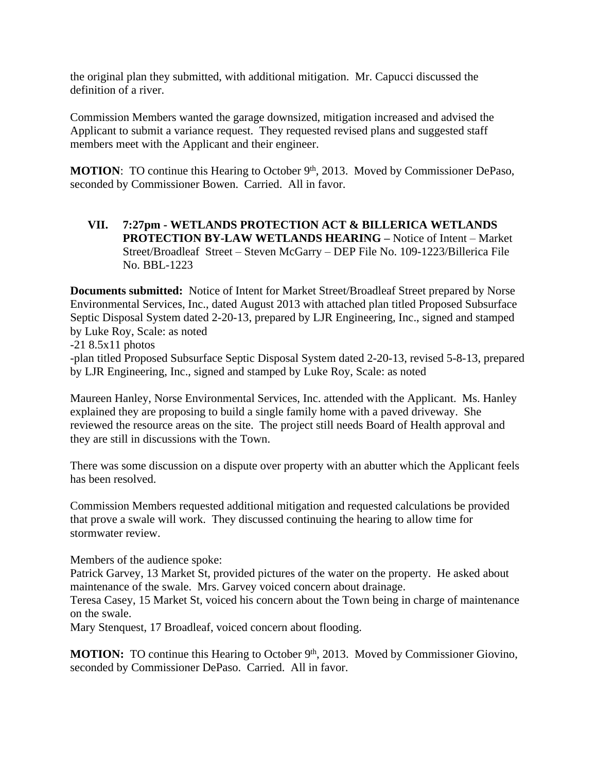the original plan they submitted, with additional mitigation. Mr. Capucci discussed the definition of a river.

Commission Members wanted the garage downsized, mitigation increased and advised the Applicant to submit a variance request. They requested revised plans and suggested staff members meet with the Applicant and their engineer.

**MOTION:** TO continue this Hearing to October 9<sup>th</sup>, 2013. Moved by Commissioner DePaso, seconded by Commissioner Bowen. Carried. All in favor.

**VII. 7:27pm - WETLANDS PROTECTION ACT & BILLERICA WETLANDS PROTECTION BY-LAW WETLANDS HEARING –** Notice of Intent – Market Street/Broadleaf Street – Steven McGarry – DEP File No. 109-1223/Billerica File No. BBL-1223

**Documents submitted:** Notice of Intent for Market Street/Broadleaf Street prepared by Norse Environmental Services, Inc., dated August 2013 with attached plan titled Proposed Subsurface Septic Disposal System dated 2-20-13, prepared by LJR Engineering, Inc., signed and stamped by Luke Roy, Scale: as noted  $-218.5x11$  photos

-plan titled Proposed Subsurface Septic Disposal System dated 2-20-13, revised 5-8-13, prepared by LJR Engineering, Inc., signed and stamped by Luke Roy, Scale: as noted

Maureen Hanley, Norse Environmental Services, Inc. attended with the Applicant. Ms. Hanley explained they are proposing to build a single family home with a paved driveway. She reviewed the resource areas on the site. The project still needs Board of Health approval and they are still in discussions with the Town.

There was some discussion on a dispute over property with an abutter which the Applicant feels has been resolved.

Commission Members requested additional mitigation and requested calculations be provided that prove a swale will work. They discussed continuing the hearing to allow time for stormwater review.

Members of the audience spoke:

Patrick Garvey, 13 Market St, provided pictures of the water on the property. He asked about maintenance of the swale. Mrs. Garvey voiced concern about drainage.

Teresa Casey, 15 Market St, voiced his concern about the Town being in charge of maintenance on the swale.

Mary Stenquest, 17 Broadleaf, voiced concern about flooding.

**MOTION:** TO continue this Hearing to October 9<sup>th</sup>, 2013. Moved by Commissioner Giovino, seconded by Commissioner DePaso. Carried. All in favor.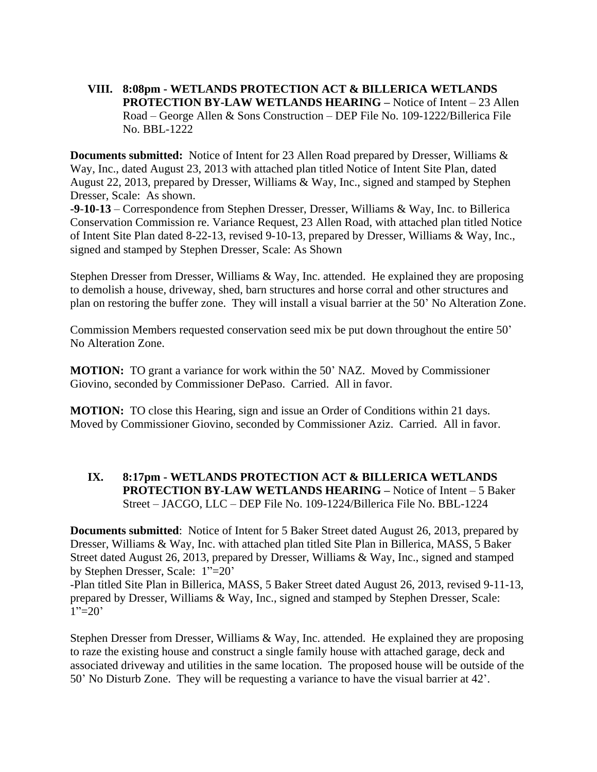**VIII. 8:08pm - WETLANDS PROTECTION ACT & BILLERICA WETLANDS PROTECTION BY-LAW WETLANDS HEARING –** Notice of Intent – 23 Allen Road – George Allen & Sons Construction – DEP File No. 109-1222/Billerica File No. BBL-1222

**Documents submitted:** Notice of Intent for 23 Allen Road prepared by Dresser, Williams & Way, Inc., dated August 23, 2013 with attached plan titled Notice of Intent Site Plan, dated August 22, 2013, prepared by Dresser, Williams & Way, Inc., signed and stamped by Stephen Dresser, Scale: As shown.

**-9**-**10-13** – Correspondence from Stephen Dresser, Dresser, Williams & Way, Inc. to Billerica Conservation Commission re. Variance Request, 23 Allen Road, with attached plan titled Notice of Intent Site Plan dated 8-22-13, revised 9-10-13, prepared by Dresser, Williams & Way, Inc., signed and stamped by Stephen Dresser, Scale: As Shown

Stephen Dresser from Dresser, Williams & Way, Inc. attended. He explained they are proposing to demolish a house, driveway, shed, barn structures and horse corral and other structures and plan on restoring the buffer zone. They will install a visual barrier at the 50' No Alteration Zone.

Commission Members requested conservation seed mix be put down throughout the entire 50' No Alteration Zone.

**MOTION:** TO grant a variance for work within the 50' NAZ. Moved by Commissioner Giovino, seconded by Commissioner DePaso. Carried. All in favor.

**MOTION:** TO close this Hearing, sign and issue an Order of Conditions within 21 days. Moved by Commissioner Giovino, seconded by Commissioner Aziz. Carried. All in favor.

#### **IX. 8:17pm - WETLANDS PROTECTION ACT & BILLERICA WETLANDS PROTECTION BY-LAW WETLANDS HEARING – Notice of Intent – 5 Baker** Street – JACGO, LLC – DEP File No. 109-1224/Billerica File No. BBL-1224

**Documents submitted**: Notice of Intent for 5 Baker Street dated August 26, 2013, prepared by Dresser, Williams & Way, Inc. with attached plan titled Site Plan in Billerica, MASS, 5 Baker Street dated August 26, 2013, prepared by Dresser, Williams & Way, Inc., signed and stamped by Stephen Dresser, Scale: 1"=20'

-Plan titled Site Plan in Billerica, MASS, 5 Baker Street dated August 26, 2013, revised 9-11-13, prepared by Dresser, Williams & Way, Inc., signed and stamped by Stephen Dresser, Scale:  $1"=20'$ 

Stephen Dresser from Dresser, Williams & Way, Inc. attended. He explained they are proposing to raze the existing house and construct a single family house with attached garage, deck and associated driveway and utilities in the same location. The proposed house will be outside of the 50' No Disturb Zone. They will be requesting a variance to have the visual barrier at 42'.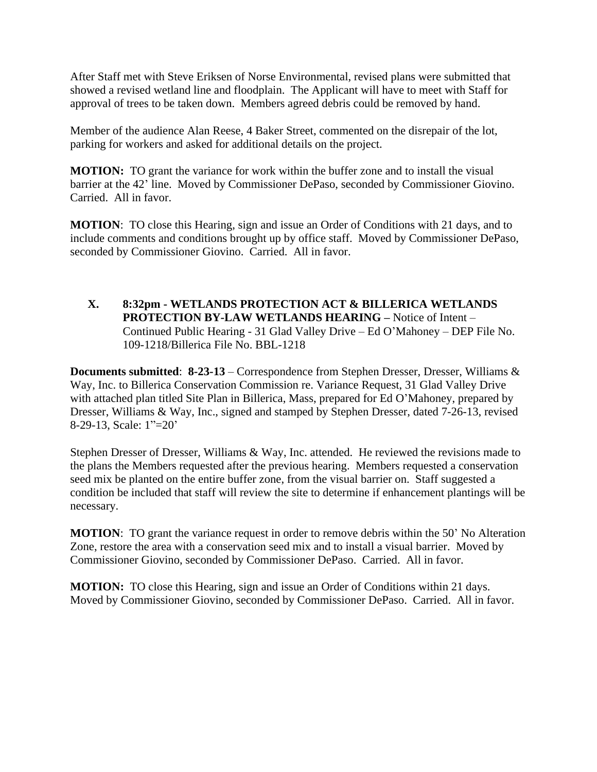After Staff met with Steve Eriksen of Norse Environmental, revised plans were submitted that showed a revised wetland line and floodplain. The Applicant will have to meet with Staff for approval of trees to be taken down. Members agreed debris could be removed by hand.

Member of the audience Alan Reese, 4 Baker Street, commented on the disrepair of the lot, parking for workers and asked for additional details on the project.

**MOTION:** TO grant the variance for work within the buffer zone and to install the visual barrier at the 42' line. Moved by Commissioner DePaso, seconded by Commissioner Giovino. Carried. All in favor.

**MOTION**: TO close this Hearing, sign and issue an Order of Conditions with 21 days, and to include comments and conditions brought up by office staff. Moved by Commissioner DePaso, seconded by Commissioner Giovino. Carried. All in favor.

**X. 8:32pm - WETLANDS PROTECTION ACT & BILLERICA WETLANDS PROTECTION BY-LAW WETLANDS HEARING –** Notice of Intent – Continued Public Hearing - 31 Glad Valley Drive – Ed O'Mahoney – DEP File No. 109-1218/Billerica File No. BBL-1218

**Documents submitted**: **8-23-13** – Correspondence from Stephen Dresser, Dresser, Williams & Way, Inc. to Billerica Conservation Commission re. Variance Request, 31 Glad Valley Drive with attached plan titled Site Plan in Billerica, Mass, prepared for Ed O'Mahoney, prepared by Dresser, Williams & Way, Inc., signed and stamped by Stephen Dresser, dated 7-26-13, revised 8-29-13, Scale: 1"=20'

Stephen Dresser of Dresser, Williams & Way, Inc. attended. He reviewed the revisions made to the plans the Members requested after the previous hearing. Members requested a conservation seed mix be planted on the entire buffer zone, from the visual barrier on. Staff suggested a condition be included that staff will review the site to determine if enhancement plantings will be necessary.

**MOTION:** TO grant the variance request in order to remove debris within the 50' No Alteration Zone, restore the area with a conservation seed mix and to install a visual barrier. Moved by Commissioner Giovino, seconded by Commissioner DePaso. Carried. All in favor.

**MOTION:** TO close this Hearing, sign and issue an Order of Conditions within 21 days. Moved by Commissioner Giovino, seconded by Commissioner DePaso. Carried. All in favor.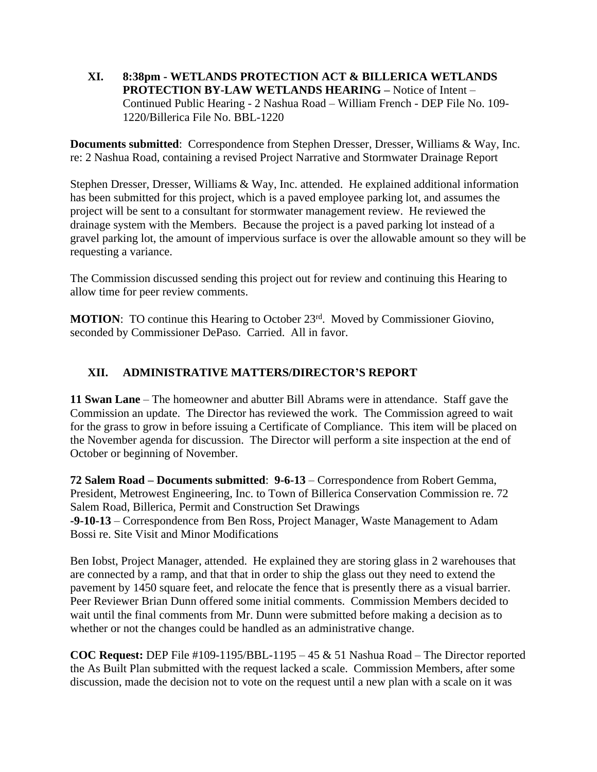**XI. 8:38pm - WETLANDS PROTECTION ACT & BILLERICA WETLANDS PROTECTION BY-LAW WETLANDS HEARING –** Notice of Intent – Continued Public Hearing - 2 Nashua Road – William French - DEP File No. 109- 1220/Billerica File No. BBL-1220

**Documents submitted**: Correspondence from Stephen Dresser, Dresser, Williams & Way, Inc. re: 2 Nashua Road, containing a revised Project Narrative and Stormwater Drainage Report

Stephen Dresser, Dresser, Williams & Way, Inc. attended. He explained additional information has been submitted for this project, which is a paved employee parking lot, and assumes the project will be sent to a consultant for stormwater management review. He reviewed the drainage system with the Members. Because the project is a paved parking lot instead of a gravel parking lot, the amount of impervious surface is over the allowable amount so they will be requesting a variance.

The Commission discussed sending this project out for review and continuing this Hearing to allow time for peer review comments.

**MOTION:** TO continue this Hearing to October 23<sup>rd</sup>. Moved by Commissioner Giovino, seconded by Commissioner DePaso. Carried. All in favor.

# **XII. ADMINISTRATIVE MATTERS/DIRECTOR'S REPORT**

**11 Swan Lane** – The homeowner and abutter Bill Abrams were in attendance. Staff gave the Commission an update. The Director has reviewed the work. The Commission agreed to wait for the grass to grow in before issuing a Certificate of Compliance. This item will be placed on the November agenda for discussion. The Director will perform a site inspection at the end of October or beginning of November.

**72 Salem Road – Documents submitted**: **9-6-13** – Correspondence from Robert Gemma, President, Metrowest Engineering, Inc. to Town of Billerica Conservation Commission re. 72 Salem Road, Billerica, Permit and Construction Set Drawings **-9-10-13** – Correspondence from Ben Ross, Project Manager, Waste Management to Adam Bossi re. Site Visit and Minor Modifications

Ben Iobst, Project Manager, attended. He explained they are storing glass in 2 warehouses that are connected by a ramp, and that that in order to ship the glass out they need to extend the pavement by 1450 square feet, and relocate the fence that is presently there as a visual barrier. Peer Reviewer Brian Dunn offered some initial comments. Commission Members decided to wait until the final comments from Mr. Dunn were submitted before making a decision as to whether or not the changes could be handled as an administrative change.

**COC Request:** DEP File #109-1195/BBL-1195 – 45 & 51 Nashua Road – The Director reported the As Built Plan submitted with the request lacked a scale. Commission Members, after some discussion, made the decision not to vote on the request until a new plan with a scale on it was